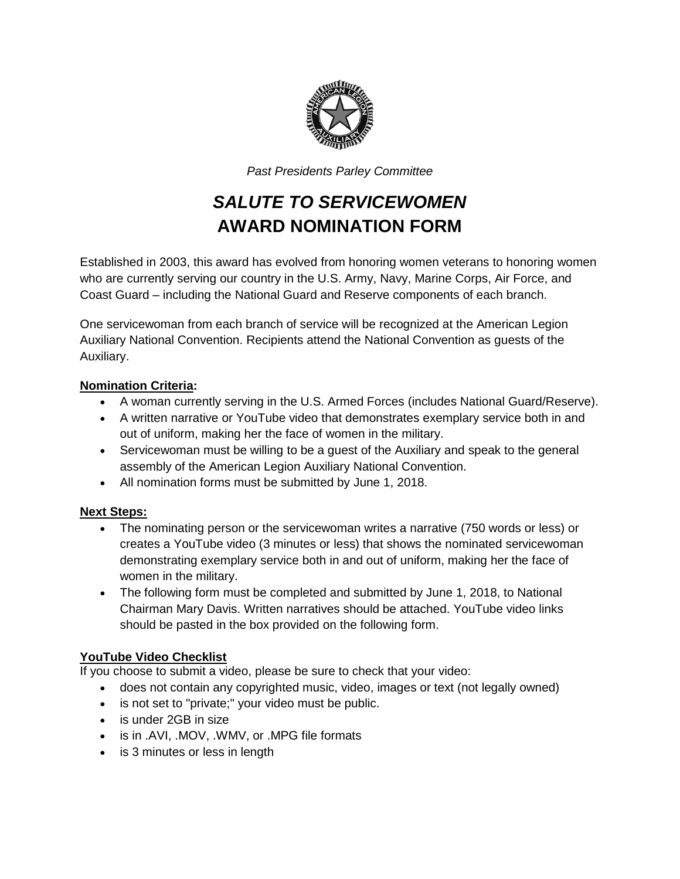

*Past Presidents Parley Committee* 

## *SALUTE TO SERVICEWOMEN* **AWARD NOMINATION FORM**

Established in 2003, this award has evolved from honoring women veterans to honoring women who are currently serving our country in the U.S. Army, Navy, Marine Corps, Air Force, and Coast Guard – including the National Guard and Reserve components of each branch.

One servicewoman from each branch of service will be recognized at the American Legion Auxiliary National Convention. Recipients attend the National Convention as guests of the Auxiliary.

## **Nomination Criteria:**

- A woman currently serving in the U.S. Armed Forces (includes National Guard/Reserve).
- A written narrative or YouTube video that demonstrates exemplary service both in and out of uniform, making her the face of women in the military.
- Servicewoman must be willing to be a quest of the Auxiliary and speak to the general assembly of the American Legion Auxiliary National Convention.
- All nomination forms must be submitted by June 1, 2018.

## **Next Steps:**

- The nominating person or the servicewoman writes a narrative (750 words or less) or creates a YouTube video (3 minutes or less) that shows the nominated servicewoman demonstrating exemplary service both in and out of uniform, making her the face of women in the military.
- The following form must be completed and submitted by June 1, 2018, to National Chairman Mary Davis. Written narratives should be attached. YouTube video links should be pasted in the box provided on the following form.

## **YouTube Video Checklist**

If you choose to submit a video, please be sure to check that your video:

- does not contain any copyrighted music, video, images or text (not legally owned)
- is not set to "private;" your video must be public.
- is under 2GB in size
- is in .AVI, .MOV, .WMV, or .MPG file formats
- is 3 minutes or less in length